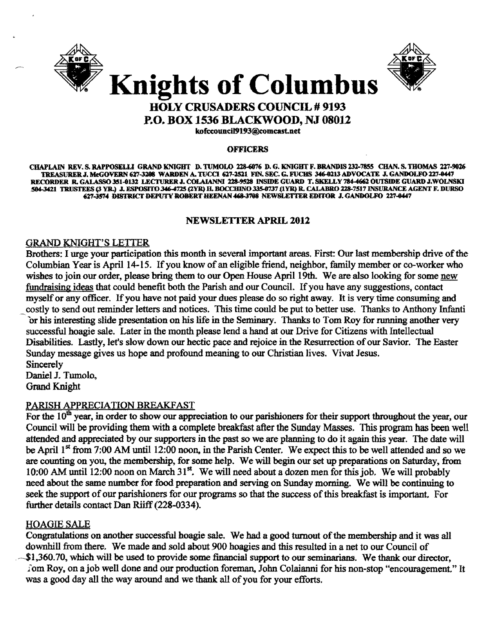



P.O. BOX 1536 BLACKWOOD, NJ 08012

kofccouncil9193@comcast.net

#### **OFFICERS**

CHAPLAIN REV. S. RAPPOSELLI GRAND KNIGHT D. TUMOLO 228-6976 D. G. KNIGHT F. BRANDIS 232-7855 CHAN. S. THOMAS 227-9926 TREASURER J. McGOVERN 627-3208 WARDEN A. TUCCI 627-2521 FIN. SEC. G. FUCHS 346-0213 ADVOCATE J. GANDOLFO 227-0447 RECORDER R. GALASSO 351-0132 LECTURER J. COLAIANNI 228-9528 INSIDE GUARD T. SKELLY 784-4662 OUTSIDE GUARD J.WOLNSKI 504-3421 TRUSTEES (3 YR.) J. ESPOSITO 346-4725 (2YR) H. BOCCHINO 335-0737 (1YR) R. CALABRO 228-7517 INSURANCE AGENT F. DURSO 627-3574 DISTRICT DEPUTY ROBERT HEENAN 468-3708 NEWSLETTER EDITOR J. GANDOLFO 227-0447

#### NEWSLETTER APRIL 2012

#### GRAND KNIGHT'S LEITER

Brothers: I urge your participation this month in several important areas. First: Our last membership drive of the Columbian Year is April 14-15. If you know of an eligible friend, neighbor, family member or co-worker who wishes to join our order, please bring them to our Open House April 19th. We are also looking for some new fundraising ideas that could benefit both the Parish and our Council. If you have any suggestions, contact myself or any officer. If you have not paid your dues please do so right away. It is very time consuming and costly to send out reminder letters and notices. This time could be put to better use. Thanks to Anthony Infanti or his interesting slide presentation on his life in the Seminary. Thanks to Tom Roy for running another very successful hoagie sale. Later in the month please lend a hand at our Drive for Citizens with Intellectual Disabilities. Lastly, let's slow down our hectic pace and rejoice in the Resurrection ofour Savior. The Easter Sunday message gives us hope and profound meaning to our Christian lives. Vivat Jesus. **Sincerely** 

Daniel J. Tumolo, Grand Knight

#### PARISH APPRECIATION BREAKFAST

For the  $10<sup>th</sup>$  year, in order to show our appreciation to our parishioners for their support throughout the year, our Council will be providing them with a complete breakfast after the Sunday Masses. This program has been well attended and appreciated by our supporters in the past so we are planning to do it again this year. The date will be April 1<sup>st</sup> from 7:00 AM until 12:00 noon, in the Parish Center. We expect this to be well attended and so we are counting on you, the membership, for some help. We will begin our set up preparations on Saturday, from 10:00 AM until 12:00 noon on March 31<sup>st</sup>. We will need about a dozen men for this job. We will probably need about the same number for food preparation and serving on Sunday morning. We will be continuing to seek the support of our parishioners for our programs so that the success of this breakfast is important. For further details contact Dan Riiff (228-0334).

#### HOAGIE SALE

Congratulations on another successful hoagie sale. We had a good turnout of the membership and it was all downhill from there. We made and sold about 900 hoagies and this resulted in a net to our Council of \$1,360.70, which will be used to provide some financial support to our seminarians. We thank our director, l'om Roy, on a job well done and our production foreman, John Colaianni for his non-stop "encouragement." It was a good day all the way around and we thank all of you for your efforts.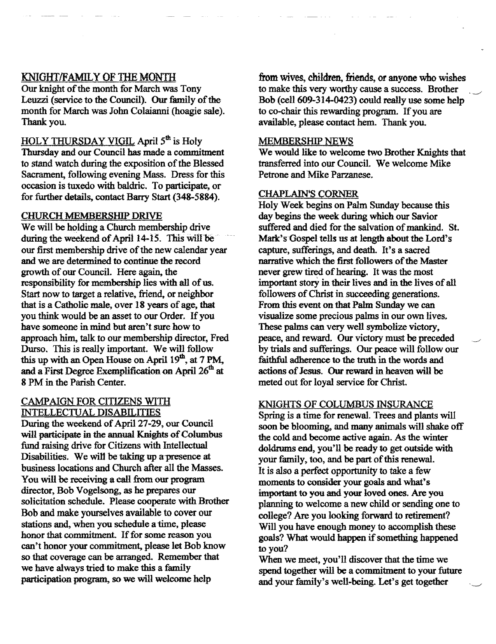### KNIGHT/FAMILY OF THE MONTH

Our knight of the month for March was Tony Leuzzi (service to the Council). Our family of the month for March was John Colaianni (hoagie sale). Thank you.

HOLY THURSDAY VIGIL April 5<sup>th</sup> is Holy

Thursday and our Council has made a commitment to stand watch during the exposition of the Blessed Sacrament, following evening Mass. Dress for this occasion is tuxedo with baldric. To participate, or for further details, contact Barry Start (348-5884).

#### CHURCH MEMBERSHIP DRIVE

We will be holding a Church membership drive during the weekend of April 14-15. This will be our first membership drive of the new calendar year and we are determined to continue the record growth of our Council. Here again, the responsibility for membership lies with all of us. Start now to target a relative, friend, or neighbor that is a Catholic male, over 18 years of age, that you think would be an asset to our Order. If you have someone in mind but aren't sure how to approach him, talk to our membership director, Fred Durso. This is really important. We will follow this up with an Open House on April  $19<sup>m</sup>$ , at 7 PM, and a First Degree Exemplification on April 26<sup>th</sup> at 8 PM in the Parish Center.

#### CAMPAIGN FOR CITIZENS WITH INTELLECTUAL DISABILITIES

During the weekend of April 27-29, our Council will participate in the annual Knights of Columbus fund raising drive for Citizens with Intellectual Disabilities. We will be taking up a presence at business locations and Church after ail the Masses. You will be receiving a call from our program director, Bob Vogelsong, as he prepares our solicitation schedule. Please cooperate with Brother Bob and make yourselves available to cover our stations and, when you schedule a time, please honor that commitment. If for some reason you can't honor your commitment, please let Bob know so that coverage can be arranged. Remember that we have always tried to make this a family participation program, so we will welcome help

from wives, children, friends, or anyone who wishes to make this very worthy cause a success. Brother Bob (cell 609-314-0423) could really use some help to co-chair this rewarding program. If you are available, please contact hem. Thank you.

#### MEMBERSHIP NEWS

We would like to welcome two Brother Knights that transferred into our CounciL We welcome Mike Petrone and Mike Parzanese.

#### **CHAPLAIN'S CORNER**

Holy Week begins on Palm Sunday because this day begins the week during which our Savior suffered and died for the salvation of mankind. St. Mark's Gospel tells us at length about the Lord's capture, sufferings, and death. It's a sacred narrative which the first followers of the Master never grew tired of hearing. It was the most important story in their lives and in the lives of all followers of Christ in succeeding generations. From this event on that Palm Sunday we can visualize some precious palms in our own lives, These palms can very well symbolize victory. peace. and reward. Our victory must be preceded by trials and sufferings. Our peace will follow our faithful adherence to the truth in the words and actions of Jesus. Our reward in heaven will be meted out for loyal service for Christ.

#### KNIGHTS OF COLUMBUS INSURANCE

Spring is a time for renewal. Trees and plants will soon be blooming, and many animals will shake off the cold and become active again. As the winter doldrums end, you'll be ready to get outside with your family, too, and be part of this renewal. It is also a perfect opportunity to take a few moments to consider your goals and wbat"s important to you and your loved ones. Are you planning to welcome a new child or sending one to college? Are you looking forward to retirement? Will you have enough money to accomplish these goals? What would happen if something happened to you?

When we meet, you'll discover that the time we spend together will be a commitment to your future and your family's well-being. Let's get together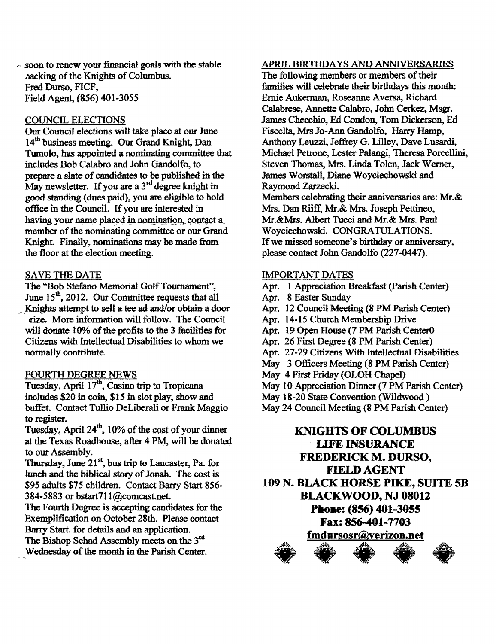$\sim$  soon to renew your financial goals with the stable backing of the Knights of Columbus. Fred Durso, FICF, Field Agent. (856) 401-3055

#### COUNCIL ELECTIONS

Our Council elections will take place at our June 14<sup>th</sup> business meeting. Our Grand Knight, Dan Tumolo, has appointed a nominating committee that includes Bob Calabro and John Gandolfo, to prepare a slate of candidates to be published in the May newsletter. If you are a 3<sup>rd</sup> degree knight in good standing (dues paid), you are eligible to hold office in the Council. Ifyou are interested in having your name placed in nomination, contact a member of the nominating committee or our Grand Knight. Finally, nominations may be made from the floor at the election meeting.

#### SAVE THE DATE

The "Bob Stefano Memorial Golf Tournament", June 15<sup>th</sup>, 2012. Our Committee requests that all Knights attempt to sell a tee ad and/or obtain a door rize. More information will follow. The Council will donate 10% of the profits to the 3 facilities for Citizens with Intellectual Disabilities to whom we normally contribute.

#### FOURTH DEGREE NEWS

Tuesday, April 17<sup>th</sup>, Casino trip to Tropicana includes \$20 in coin, \$15 in slot play, show and buffet. Contact Tullio DeLiberali or Frank Maggio to register.

Tuesday, April  $24<sup>th</sup>$ , 10% of the cost of your dinner at the Texas Roadhouse, after 4 PM, will be donated to our Assembly.

Thursday, June  $21<sup>st</sup>$ , bus trip to Lancaster, Pa. for lunch and the biblical story of Jonah. The cost is \$95 adults \$75 children. Contact Barry Start 856 384-5883 or bstart711@comcastnet.

The Fourth Degree is accepting candidates for the Exemplification on October 28th. Please contact Barry Start. for details and an application.

The Bishop Schad Assembly meets on the 3<sup>rd</sup> Wednesday of the month in the Parish Center.

#### APRIL BIRTHDAYS AND ANNIVERSARIES

The following members or members of their families will celebrate their birthdays this month: Ernie Aukerman, Roseanne Aversa, Richard Calabrese, Annette Calabro, John Cerkez, Msgr. James Checchio, Ed Condon, Tom Dickerson, Ed Fiscella, Mrs Jo-Ann Gandolfo, Harry Hamp, Anthony Leuzzi, Jeffrey G. Lilley, Dave Lusardi. Michael Petrone, Lester Palangi, Theresa Porcellini, Steven Thomas, Mrs. Linda Tolen, Jack Werner., James Worstall, Diane Woyciechowski and Raymond Zarzecki.

Members celebrating their anniversaries are: Mr.& Mrs. Dan Riiff, Mr.& Mrs. Joseph Pettineo, Mr.&Mrs~ Albert Tucci and Mr.& Mrs. Paul Woyciechowski. CONGRATULATIONS. If we missed someone's birthday or anniversary, please contact John Gandolfo (221-0447).

#### IMPORTANT DATES

- Apr. 1 Appreciation Breakfast (Parish Center)
- Apr. 8 Easter Sunday
- Apr. 12 Council Meeting (8 PM Parish Center)
- Apr. 14-15 Church Membership Drive
- Apr. 19 Open House (7 PM Parish Center0
- Apr. 26 First Degree (8 PM Parish Center)
- Apr. 21-29 Citizens With Intellectual Disabilities
- May 3 Officers Meeting (8 PM Parish Center)
- May 4 First Friday (OLOH Chapel)
- May 10 Appreciation Dinner (7 PM Parish Center)
- May 18-20 State Convention (Wildwood)
- May 24 Council Meeting (8 PM Parish Center)